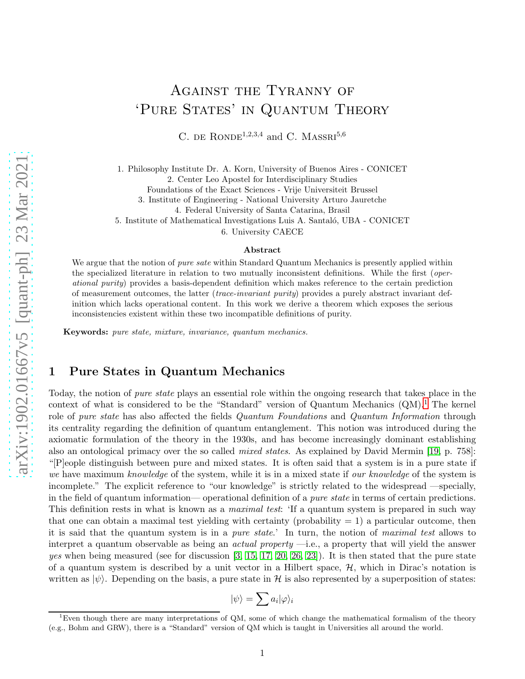# Against the Tyranny of 'PURE STATES' IN QUANTUM THEORY

C. DE RONDE<sup>1,2,3,4</sup> and C. MASSRI<sup>5,6</sup>

1. Philosophy Institute Dr. A. Korn, University of Buenos Aires - CONICET

2. Center Leo Apostel for Interdisciplinary Studies

Foundations of the Exact Sciences - Vrije Universiteit Brussel

3. Institute of Engineering - National University Arturo Jauretche

4. Federal University of Santa Catarina, Brasil

5. Institute of Mathematical Investigations Luis A. Santaló, UBA - CONICET

6. University CAECE

#### Abstract

We argue that the notion of *pure sate* within Standard Quantum Mechanics is presently applied within the specialized literature in relation to two mutually inconsistent definitions. While the first (operational purity) provides a basis-dependent definition which makes reference to the certain prediction of measurement outcomes, the latter (trace-invariant purity) provides a purely abstract invariant definition which lacks operational content. In this work we derive a theorem which exposes the serious inconsistencies existent within these two incompatible definitions of purity.

Keywords: pure state, mixture, invariance, quantum mechanics.

# 1 Pure States in Quantum Mechanics

Today, the notion of *pure state* plays an essential role within the ongoing research that takes place in the context of what is considered to be the "Standard" version of Quantum Mechanics  $(QM)^{1}$  $(QM)^{1}$  $(QM)^{1}$ . The kernel role of pure state has also affected the fields *Quantum Foundations* and *Quantum Information* through its centrality regarding the definition of quantum entanglement. This notion was introduced during the axiomatic formulation of the theory in the 1930s, and has become increasingly dominant establishing also an ontological primacy over the so called *mixed states*. As explained by David Mermin [\[19,](#page-11-0) p. 758]: "[P]eople distinguish between pure and mixed states. It is often said that a system is in a pure state if we have maximum knowledge of the system, while it is in a mixed state if our knowledge of the system is incomplete." The explicit reference to "our knowledge" is strictly related to the widespread —specially, in the field of quantum information— operational definition of a pure state in terms of certain predictions. This definition rests in what is known as a *maximal test*: 'If a quantum system is prepared in such way that one can obtain a maximal test yielding with certainty (probability  $= 1$ ) a particular outcome, then it is said that the quantum system is in a pure state.' In turn, the notion of maximal test allows to interpret a quantum observable as being an actual property —i.e., a property that will yield the answer yes when being measured (see for discussion  $[3, 15, 17, 20, 26, 23]$  $[3, 15, 17, 20, 26, 23]$  $[3, 15, 17, 20, 26, 23]$  $[3, 15, 17, 20, 26, 23]$  $[3, 15, 17, 20, 26, 23]$  $[3, 15, 17, 20, 26, 23]$ ). It is then stated that the pure state of a quantum system is described by a unit vector in a Hilbert space,  $H$ , which in Dirac's notation is written as  $|\psi\rangle$ . Depending on the basis, a pure state in H is also represented by a superposition of states:

$$
|\psi\rangle=\sum a_i|\varphi\rangle_i
$$

<span id="page-0-0"></span><sup>&</sup>lt;sup>1</sup>Even though there are many interpretations of QM, some of which change the mathematical formalism of the theory (e.g., Bohm and GRW), there is a "Standard" version of QM which is taught in Universities all around the world.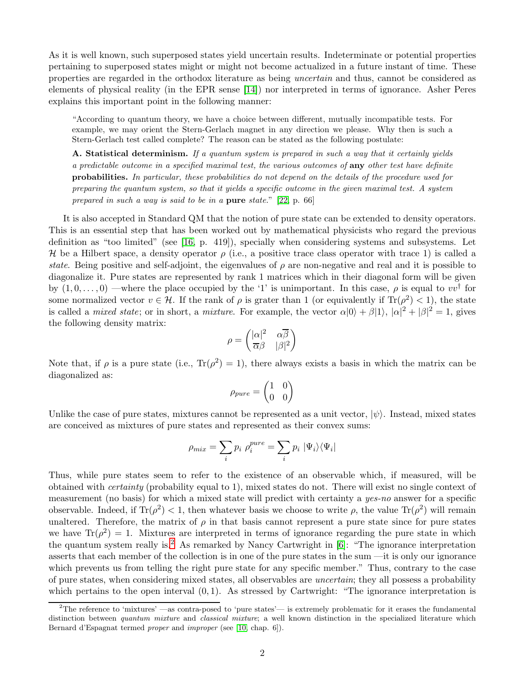As it is well known, such superposed states yield uncertain results. Indeterminate or potential properties pertaining to superposed states might or might not become actualized in a future instant of time. These properties are regarded in the orthodox literature as being uncertain and thus, cannot be considered as elements of physical reality (in the EPR sense [\[14\]](#page-11-6)) nor interpreted in terms of ignorance. Asher Peres explains this important point in the following manner:

"According to quantum theory, we have a choice between different, mutually incompatible tests. For example, we may orient the Stern-Gerlach magnet in any direction we please. Why then is such a Stern-Gerlach test called complete? The reason can be stated as the following postulate:

A. Statistical determinism. If a quantum system is prepared in such a way that it certainly yields a predictable outcome in a specified maximal test, the various outcomes of any other test have definite probabilities. In particular, these probabilities do not depend on the details of the procedure used for preparing the quantum system, so that it yields a specific outcome in the given maximal test. A system prepared in such a way is said to be in a pure state." [\[22,](#page-11-7) p. 66]

It is also accepted in Standard QM that the notion of pure state can be extended to density operators. This is an essential step that has been worked out by mathematical physicists who regard the previous definition as "too limited" (see [\[16,](#page-11-8) p. 419]), specially when considering systems and subsystems. Let H be a Hilbert space, a density operator  $\rho$  (i.e., a positive trace class operator with trace 1) is called a state. Being positive and self-adjoint, the eigenvalues of  $\rho$  are non-negative and real and it is possible to diagonalize it. Pure states are represented by rank 1 matrices which in their diagonal form will be given by  $(1,0,\ldots,0)$  —where the place occupied by the '1' is unimportant. In this case,  $\rho$  is equal to  $vv^{\dagger}$  for some normalized vector  $v \in \mathcal{H}$ . If the rank of  $\rho$  is grater than 1 (or equivalently if  $\text{Tr}(\rho^2) < 1$ ), the state is called a *mixed state*; or in short, a *mixture*. For example, the vector  $\alpha|0\rangle + \beta|1\rangle$ ,  $|\alpha|^2 + |\beta|^2 = 1$ , gives the following density matrix:

$$
\rho = \begin{pmatrix} |\alpha|^2 & \alpha \overline{\beta} \\ \overline{\alpha}\beta & |\beta|^2 \end{pmatrix}
$$

Note that, if  $\rho$  is a pure state (i.e.,  $\text{Tr}(\rho^2) = 1$ ), there always exists a basis in which the matrix can be diagonalized as:

$$
\rho_{pure} = \begin{pmatrix} 1 & 0 \\ 0 & 0 \end{pmatrix}
$$

Unlike the case of pure states, mixtures cannot be represented as a unit vector,  $|\psi\rangle$ . Instead, mixed states are conceived as mixtures of pure states and represented as their convex sums:

$$
\rho_{mix} = \sum_{i} p_i \rho_i^{pure} = \sum_{i} p_i \left| \Psi_i \right\rangle \left\langle \Psi_i \right|
$$

Thus, while pure states seem to refer to the existence of an observable which, if measured, will be obtained with certainty (probability equal to 1), mixed states do not. There will exist no single context of measurement (no basis) for which a mixed state will predict with certainty a yes-no answer for a specific observable. Indeed, if  $\text{Tr}(\rho^2) < 1$ , then whatever basis we choose to write  $\rho$ , the value  $\text{Tr}(\rho^2)$  will remain unaltered. Therefore, the matrix of  $\rho$  in that basis cannot represent a pure state since for pure states we have  $\text{Tr}(\rho^2) = 1$ . Mixtures are interpreted in terms of ignorance regarding the pure state in which the quantum system really is.<sup>[2](#page-1-0)</sup> As remarked by Nancy Cartwright in  $[6]$ : "The ignorance interpretation asserts that each member of the collection is in one of the pure states in the sum —it is only our ignorance which prevents us from telling the right pure state for any specific member." Thus, contrary to the case of pure states, when considering mixed states, all observables are uncertain; they all possess a probability which pertains to the open interval  $(0, 1)$ . As stressed by Cartwright: "The ignorance interpretation is

<span id="page-1-0"></span><sup>&</sup>lt;sup>2</sup>The reference to 'mixtures' —as contra-posed to 'pure states'— is extremely problematic for it erases the fundamental distinction between quantum mixture and classical mixture; a well known distinction in the specialized literature which Bernard d'Espagnat termed proper and improper (see [\[10,](#page-11-9) chap. 6]).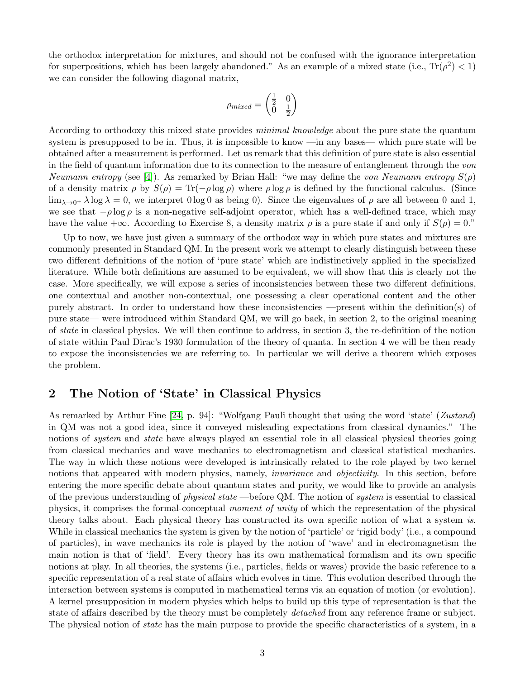the orthodox interpretation for mixtures, and should not be confused with the ignorance interpretation for superpositions, which has been largely abandoned." As an example of a mixed state (i.e.,  $\text{Tr}(\rho^2) < 1$ ) we can consider the following diagonal matrix,

$$
\rho_{mixed}=\begin{pmatrix}\frac{1}{2} & 0 \\ 0 & \frac{1}{2}\end{pmatrix}
$$

According to orthodoxy this mixed state provides *minimal knowledge* about the pure state the quantum system is presupposed to be in. Thus, it is impossible to know —in any bases— which pure state will be obtained after a measurement is performed. Let us remark that this definition of pure state is also essential in the field of quantum information due to its connection to the measure of entanglement through the von Neumann entropy (see [\[4\]](#page-10-2)). As remarked by Brian Hall: "we may define the von Neumann entropy  $S(\rho)$ of a density matrix  $\rho$  by  $S(\rho) = \text{Tr}(-\rho \log \rho)$  where  $\rho \log \rho$  is defined by the functional calculus. (Since  $\lim_{\lambda\to 0^+} \lambda \log \lambda = 0$ , we interpret  $0 \log 0$  as being 0). Since the eigenvalues of  $\rho$  are all between 0 and 1, we see that  $-\rho \log \rho$  is a non-negative self-adjoint operator, which has a well-defined trace, which may have the value + $\infty$ . According to Exercise 8, a density matrix  $\rho$  is a pure state if and only if  $S(\rho) = 0$ ."

Up to now, we have just given a summary of the orthodox way in which pure states and mixtures are commonly presented in Standard QM. In the present work we attempt to clearly distinguish between these two different definitions of the notion of 'pure state' which are indistinctively applied in the specialized literature. While both definitions are assumed to be equivalent, we will show that this is clearly not the case. More specifically, we will expose a series of inconsistencies between these two different definitions, one contextual and another non-contextual, one possessing a clear operational content and the other purely abstract. In order to understand how these inconsistencies —present within the definition(s) of pure state— were introduced within Standard QM, we will go back, in section 2, to the original meaning of state in classical physics. We will then continue to address, in section 3, the re-definition of the notion of state within Paul Dirac's 1930 formulation of the theory of quanta. In section 4 we will be then ready to expose the inconsistencies we are referring to. In particular we will derive a theorem which exposes the problem.

# 2 The Notion of 'State' in Classical Physics

As remarked by Arthur Fine [\[24,](#page-11-10) p. 94]: "Wolfgang Pauli thought that using the word 'state' (Zustand) in QM was not a good idea, since it conveyed misleading expectations from classical dynamics." The notions of *system* and *state* have always played an essential role in all classical physical theories going from classical mechanics and wave mechanics to electromagnetism and classical statistical mechanics. The way in which these notions were developed is intrinsically related to the role played by two kernel notions that appeared with modern physics, namely, *invariance* and *objectivity*. In this section, before entering the more specific debate about quantum states and purity, we would like to provide an analysis of the previous understanding of *physical state* —before QM. The notion of *system* is essential to classical physics, it comprises the formal-conceptual moment of unity of which the representation of the physical theory talks about. Each physical theory has constructed its own specific notion of what a system is. While in classical mechanics the system is given by the notion of 'particle' or 'rigid body' (i.e., a compound of particles), in wave mechanics its role is played by the notion of 'wave' and in electromagnetism the main notion is that of 'field'. Every theory has its own mathematical formalism and its own specific notions at play. In all theories, the systems (i.e., particles, fields or waves) provide the basic reference to a specific representation of a real state of affairs which evolves in time. This evolution described through the interaction between systems is computed in mathematical terms via an equation of motion (or evolution). A kernel presupposition in modern physics which helps to build up this type of representation is that the state of affairs described by the theory must be completely *detached* from any reference frame or subject. The physical notion of *state* has the main purpose to provide the specific characteristics of a system, in a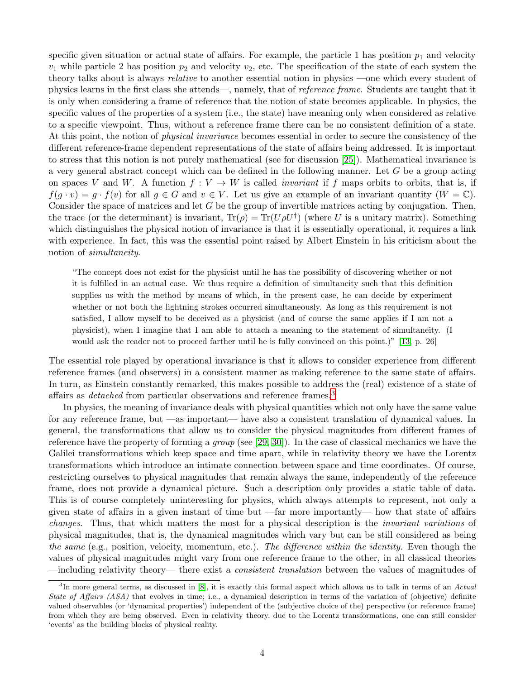specific given situation or actual state of affairs. For example, the particle 1 has position  $p_1$  and velocity  $v_1$  while particle 2 has position  $p_2$  and velocity  $v_2$ , etc. The specification of the state of each system the theory talks about is always relative to another essential notion in physics —one which every student of physics learns in the first class she attends—, namely, that of reference frame. Students are taught that it is only when considering a frame of reference that the notion of state becomes applicable. In physics, the specific values of the properties of a system (i.e., the state) have meaning only when considered as relative to a specific viewpoint. Thus, without a reference frame there can be no consistent definition of a state. At this point, the notion of physical invariance becomes essential in order to secure the consistency of the different reference-frame dependent representations of the state of affairs being addressed. It is important to stress that this notion is not purely mathematical (see for discussion [\[25\]](#page-11-11)). Mathematical invariance is a very general abstract concept which can be defined in the following manner. Let G be a group acting on spaces V and W. A function  $f: V \to W$  is called *invariant* if f maps orbits to orbits, that is, if  $f(g \cdot v) = g \cdot f(v)$  for all  $g \in G$  and  $v \in V$ . Let us give an example of an invariant quantity  $(W = \mathbb{C})$ . Consider the space of matrices and let G be the group of invertible matrices acting by conjugation. Then, the trace (or the determinant) is invariant,  $Tr(\rho) = Tr(U\rho U^{\dagger})$  (where U is a unitary matrix). Something which distinguishes the physical notion of invariance is that it is essentially operational, it requires a link with experience. In fact, this was the essential point raised by Albert Einstein in his criticism about the notion of simultaneity.

"The concept does not exist for the physicist until he has the possibility of discovering whether or not it is fulfilled in an actual case. We thus require a definition of simultaneity such that this definition supplies us with the method by means of which, in the present case, he can decide by experiment whether or not both the lightning strokes occurred simultaneously. As long as this requirement is not satisfied, I allow myself to be deceived as a physicist (and of course the same applies if I am not a physicist), when I imagine that I am able to attach a meaning to the statement of simultaneity. (I would ask the reader not to proceed farther until he is fully convinced on this point.)" [\[13,](#page-11-12) p. 26]

The essential role played by operational invariance is that it allows to consider experience from different reference frames (and observers) in a consistent manner as making reference to the same state of affairs. In turn, as Einstein constantly remarked, this makes possible to address the (real) existence of a state of affairs as *detached* from particular observations and reference frames.<sup>[3](#page-3-0)</sup>

In physics, the meaning of invariance deals with physical quantities which not only have the same value for any reference frame, but —as important— have also a consistent translation of dynamical values. In general, the transformations that allow us to consider the physical magnitudes from different frames of reference have the property of forming a group (see [\[29,](#page-11-13) [30\]](#page-11-14)). In the case of classical mechanics we have the Galilei transformations which keep space and time apart, while in relativity theory we have the Lorentz transformations which introduce an intimate connection between space and time coordinates. Of course, restricting ourselves to physical magnitudes that remain always the same, independently of the reference frame, does not provide a dynamical picture. Such a description only provides a static table of data. This is of course completely uninteresting for physics, which always attempts to represent, not only a given state of affairs in a given instant of time but —far more importantly— how that state of affairs changes. Thus, that which matters the most for a physical description is the invariant variations of physical magnitudes, that is, the dynamical magnitudes which vary but can be still considered as being the same (e.g., position, velocity, momentum, etc.). The difference within the identity. Even though the values of physical magnitudes might vary from one reference frame to the other, in all classical theories —including relativity theory— there exist a consistent translation between the values of magnitudes of

<span id="page-3-0"></span> ${}^{3}$ In more general terms, as discussed in [\[8\]](#page-11-15), it is exactly this formal aspect which allows us to talk in terms of an Actual State of Affairs (ASA) that evolves in time; i.e., a dynamical description in terms of the variation of (objective) definite valued observables (or 'dynamical properties') independent of the (subjective choice of the) perspective (or reference frame) from which they are being observed. Even in relativity theory, due to the Lorentz transformations, one can still consider 'events' as the building blocks of physical reality.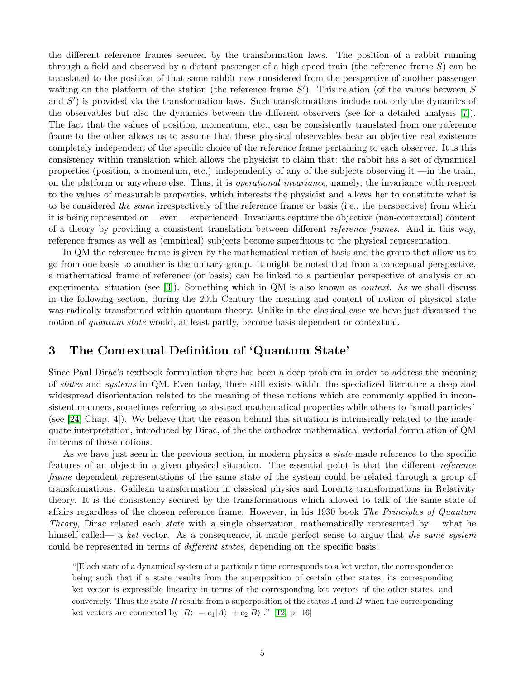the different reference frames secured by the transformation laws. The position of a rabbit running through a field and observed by a distant passenger of a high speed train (the reference frame S) can be translated to the position of that same rabbit now considered from the perspective of another passenger waiting on the platform of the station (the reference frame  $S'$ ). This relation (of the values between  $S$ and S') is provided via the transformation laws. Such transformations include not only the dynamics of the observables but also the dynamics between the different observers (see for a detailed analysis [\[7\]](#page-10-3)). The fact that the values of position, momentum, etc., can be consistently translated from one reference frame to the other allows us to assume that these physical observables bear an objective real existence completely independent of the specific choice of the reference frame pertaining to each observer. It is this consistency within translation which allows the physicist to claim that: the rabbit has a set of dynamical properties (position, a momentum, etc.) independently of any of the subjects observing it —in the train, on the platform or anywhere else. Thus, it is operational invariance, namely, the invariance with respect to the values of measurable properties, which interests the physicist and allows her to constitute what is to be considered the same irrespectively of the reference frame or basis (i.e., the perspective) from which it is being represented or —even— experienced. Invariants capture the objective (non-contextual) content of a theory by providing a consistent translation between different reference frames. And in this way, reference frames as well as (empirical) subjects become superfluous to the physical representation.

In QM the reference frame is given by the mathematical notion of basis and the group that allow us to go from one basis to another is the unitary group. It might be noted that from a conceptual perspective, a mathematical frame of reference (or basis) can be linked to a particular perspective of analysis or an experimental situation (see [\[3\]](#page-10-0)). Something which in QM is also known as *context*. As we shall discuss in the following section, during the 20th Century the meaning and content of notion of physical state was radically transformed within quantum theory. Unlike in the classical case we have just discussed the notion of *quantum state* would, at least partly, become basis dependent or contextual.

# 3 The Contextual Definition of 'Quantum State'

Since Paul Dirac's textbook formulation there has been a deep problem in order to address the meaning of states and systems in QM. Even today, there still exists within the specialized literature a deep and widespread disorientation related to the meaning of these notions which are commonly applied in inconsistent manners, sometimes referring to abstract mathematical properties while others to "small particles" (see [\[24,](#page-11-10) Chap. 4]). We believe that the reason behind this situation is intrinsically related to the inadequate interpretation, introduced by Dirac, of the the orthodox mathematical vectorial formulation of QM in terms of these notions.

As we have just seen in the previous section, in modern physics a *state* made reference to the specific features of an object in a given physical situation. The essential point is that the different reference frame dependent representations of the same state of the system could be related through a group of transformations. Galilean transformation in classical physics and Lorentz transformations in Relativity theory. It is the consistency secured by the transformations which allowed to talk of the same state of affairs regardless of the chosen reference frame. However, in his 1930 book The Principles of Quantum Theory, Dirac related each state with a single observation, mathematically represented by —what he himself called— a ket vector. As a consequence, it made perfect sense to argue that the same system could be represented in terms of *different states*, depending on the specific basis:

"[E]ach state of a dynamical system at a particular time corresponds to a ket vector, the correspondence being such that if a state results from the superposition of certain other states, its corresponding ket vector is expressible linearity in terms of the corresponding ket vectors of the other states, and conversely. Thus the state R results from a superposition of the states A and B when the corresponding ket vectors are connected by  $|R\rangle = c_1|A\rangle + c_2|B\rangle$ ." [\[12,](#page-11-16) p. 16]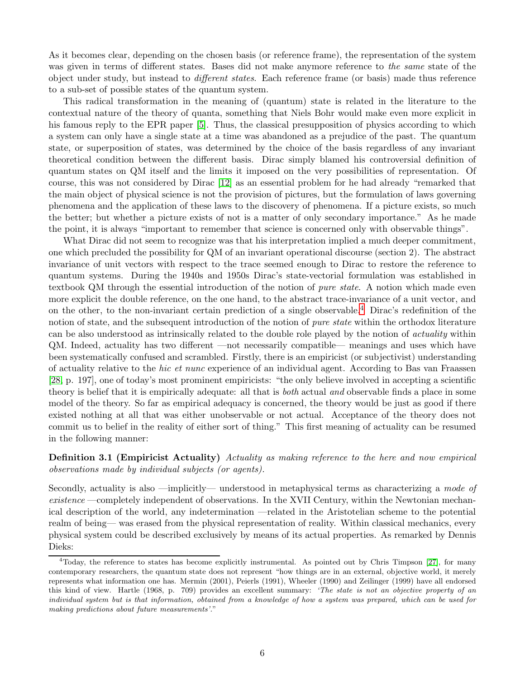As it becomes clear, depending on the chosen basis (or reference frame), the representation of the system was given in terms of different states. Bases did not make anymore reference to the same state of the object under study, but instead to different states. Each reference frame (or basis) made thus reference to a sub-set of possible states of the quantum system.

This radical transformation in the meaning of (quantum) state is related in the literature to the contextual nature of the theory of quanta, something that Niels Bohr would make even more explicit in his famous reply to the EPR paper [\[5\]](#page-10-4). Thus, the classical presupposition of physics according to which a system can only have a single state at a time was abandoned as a prejudice of the past. The quantum state, or superposition of states, was determined by the choice of the basis regardless of any invariant theoretical condition between the different basis. Dirac simply blamed his controversial definition of quantum states on QM itself and the limits it imposed on the very possibilities of representation. Of course, this was not considered by Dirac [\[12\]](#page-11-16) as an essential problem for he had already "remarked that the main object of physical science is not the provision of pictures, but the formulation of laws governing phenomena and the application of these laws to the discovery of phenomena. If a picture exists, so much the better; but whether a picture exists of not is a matter of only secondary importance." As he made the point, it is always "important to remember that science is concerned only with observable things".

What Dirac did not seem to recognize was that his interpretation implied a much deeper commitment, one which precluded the possibility for QM of an invariant operational discourse (section 2). The abstract invariance of unit vectors with respect to the trace seemed enough to Dirac to restore the reference to quantum systems. During the 1940s and 1950s Dirac's state-vectorial formulation was established in textbook QM through the essential introduction of the notion of *pure state*. A notion which made even more explicit the double reference, on the one hand, to the abstract trace-invariance of a unit vector, and on the other, to the non-invariant certain prediction of a single observable.[4](#page-5-0) Dirac's redefinition of the notion of state, and the subsequent introduction of the notion of *pure state* within the orthodox literature can be also understood as intrinsically related to the double role played by the notion of actuality within QM. Indeed, actuality has two different —not necessarily compatible— meanings and uses which have been systematically confused and scrambled. Firstly, there is an empiricist (or subjectivist) understanding of actuality relative to the hic et nunc experience of an individual agent. According to Bas van Fraassen [\[28,](#page-11-17) p. 197], one of today's most prominent empiricists: "the only believe involved in accepting a scientific theory is belief that it is empirically adequate: all that is *both* actual and observable finds a place in some model of the theory. So far as empirical adequacy is concerned, the theory would be just as good if there existed nothing at all that was either unobservable or not actual. Acceptance of the theory does not commit us to belief in the reality of either sort of thing." This first meaning of actuality can be resumed in the following manner:

Definition 3.1 (Empiricist Actuality) Actuality as making reference to the here and now empirical observations made by individual subjects (or agents).

Secondly, actuality is also —implicitly— understood in metaphysical terms as characterizing a mode of existence —completely independent of observations. In the XVII Century, within the Newtonian mechanical description of the world, any indetermination —related in the Aristotelian scheme to the potential realm of being— was erased from the physical representation of reality. Within classical mechanics, every physical system could be described exclusively by means of its actual properties. As remarked by Dennis Dieks:

<span id="page-5-0"></span><sup>4</sup>Today, the reference to states has become explicitly instrumental. As pointed out by Chris Timpson [\[27\]](#page-11-18), for many contemporary researchers, the quantum state does not represent "how things are in an external, objective world, it merely represents what information one has. Mermin (2001), Peierls (1991), Wheeler (1990) and Zeilinger (1999) have all endorsed this kind of view. Hartle (1968, p. 709) provides an excellent summary: 'The state is not an objective property of an individual system but is that information, obtained from a knowledge of how a system was prepared, which can be used for making predictions about future measurements'."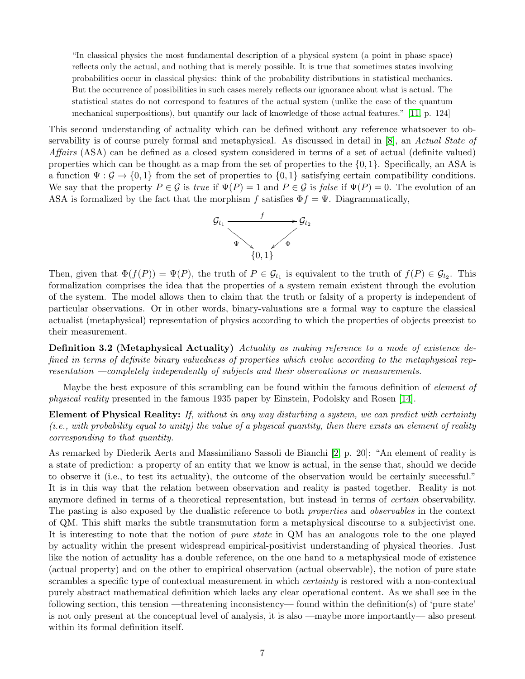"In classical physics the most fundamental description of a physical system (a point in phase space) reflects only the actual, and nothing that is merely possible. It is true that sometimes states involving probabilities occur in classical physics: think of the probability distributions in statistical mechanics. But the occurrence of possibilities in such cases merely reflects our ignorance about what is actual. The statistical states do not correspond to features of the actual system (unlike the case of the quantum mechanical superpositions), but quantify our lack of knowledge of those actual features." [\[11,](#page-11-19) p. 124]

This second understanding of actuality which can be defined without any reference whatsoever to ob-servability is of course purely formal and metaphysical. As discussed in detail in [\[8\]](#page-11-15), an Actual State of Affairs (ASA) can be defined as a closed system considered in terms of a set of actual (definite valued) properties which can be thought as a map from the set of properties to the  $\{0, 1\}$ . Specifically, an ASA is a function  $\Psi : \mathcal{G} \to \{0, 1\}$  from the set of properties to  $\{0, 1\}$  satisfying certain compatibility conditions. We say that the property  $P \in \mathcal{G}$  is true if  $\Psi(P) = 1$  and  $P \in \mathcal{G}$  is false if  $\Psi(P) = 0$ . The evolution of an ASA is formalized by the fact that the morphism f satisfies  $\Phi f = \Psi$ . Diagrammatically,



Then, given that  $\Phi(f(P)) = \Psi(P)$ , the truth of  $P \in \mathcal{G}_{t_1}$  is equivalent to the truth of  $f(P) \in \mathcal{G}_{t_2}$ . This formalization comprises the idea that the properties of a system remain existent through the evolution of the system. The model allows then to claim that the truth or falsity of a property is independent of particular observations. Or in other words, binary-valuations are a formal way to capture the classical actualist (metaphysical) representation of physics according to which the properties of objects preexist to their measurement.

Definition 3.2 (Metaphysical Actuality) Actuality as making reference to a mode of existence defined in terms of definite binary valuedness of properties which evolve according to the metaphysical representation —completely independently of subjects and their observations or measurements.

Maybe the best exposure of this scrambling can be found within the famous definition of *element of* physical reality presented in the famous 1935 paper by Einstein, Podolsky and Rosen [\[14\]](#page-11-6).

Element of Physical Reality: If, without in any way disturbing a system, we can predict with certainty (i.e., with probability equal to unity) the value of a physical quantity, then there exists an element of reality corresponding to that quantity.

As remarked by Diederik Aerts and Massimiliano Sassoli de Bianchi [\[2,](#page-10-5) p. 20]: "An element of reality is a state of prediction: a property of an entity that we know is actual, in the sense that, should we decide to observe it (i.e., to test its actuality), the outcome of the observation would be certainly successful." It is in this way that the relation between observation and reality is pasted together. Reality is not anymore defined in terms of a theoretical representation, but instead in terms of certain observability. The pasting is also exposed by the dualistic reference to both properties and observables in the context of QM. This shift marks the subtle transmutation form a metaphysical discourse to a subjectivist one. It is interesting to note that the notion of pure state in QM has an analogous role to the one played by actuality within the present widespread empirical-positivist understanding of physical theories. Just like the notion of actuality has a double reference, on the one hand to a metaphysical mode of existence (actual property) and on the other to empirical observation (actual observable), the notion of pure state scrambles a specific type of contextual measurement in which certainty is restored with a non-contextual purely abstract mathematical definition which lacks any clear operational content. As we shall see in the following section, this tension —threatening inconsistency— found within the definition(s) of 'pure state' is not only present at the conceptual level of analysis, it is also —maybe more importantly— also present within its formal definition itself.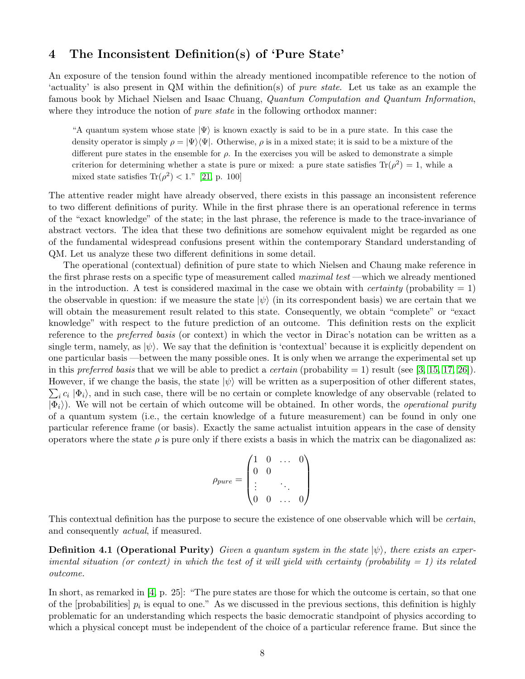# 4 The Inconsistent Definition(s) of 'Pure State'

An exposure of the tension found within the already mentioned incompatible reference to the notion of 'actuality' is also present in QM within the definition(s) of pure state. Let us take as an example the famous book by Michael Nielsen and Isaac Chuang, Quantum Computation and Quantum Information, where they introduce the notion of *pure state* in the following orthodox manner:

"A quantum system whose state  $|\Psi\rangle$  is known exactly is said to be in a pure state. In this case the density operator is simply  $\rho = |\Psi\rangle\langle\Psi|$ . Otherwise,  $\rho$  is in a mixed state; it is said to be a mixture of the different pure states in the ensemble for  $\rho$ . In the exercises you will be asked to demonstrate a simple criterion for determining whether a state is pure or mixed: a pure state satisfies  $\text{Tr}(\rho^2) = 1$ , while a mixed state satisfies  $\text{Tr}(\rho^2) < 1$ ." [\[21,](#page-11-20) p. 100]

The attentive reader might have already observed, there exists in this passage an inconsistent reference to two different definitions of purity. While in the first phrase there is an operational reference in terms of the "exact knowledge" of the state; in the last phrase, the reference is made to the trace-invariance of abstract vectors. The idea that these two definitions are somehow equivalent might be regarded as one of the fundamental widespread confusions present within the contemporary Standard understanding of QM. Let us analyze these two different definitions in some detail.

The operational (contextual) definition of pure state to which Nielsen and Chaung make reference in the first phrase rests on a specific type of measurement called *maximal test* —which we already mentioned in the introduction. A test is considered maximal in the case we obtain with *certainty* (probability  $= 1$ ) the observable in question: if we measure the state  $|\psi\rangle$  (in its correspondent basis) we are certain that we will obtain the measurement result related to this state. Consequently, we obtain "complete" or "exact knowledge" with respect to the future prediction of an outcome. This definition rests on the explicit reference to the preferred basis (or context) in which the vector in Dirac's notation can be written as a single term, namely, as  $|\psi\rangle$ . We say that the definition is 'contextual' because it is explicitly dependent on one particular basis —between the many possible ones. It is only when we arrange the experimental set up in this preferred basis that we will be able to predict a certain (probability  $= 1$ ) result (see [\[3,](#page-10-0) [15,](#page-11-1) [17,](#page-11-2) [26\]](#page-11-4)).  $\sum_i c_i |\Phi_i\rangle$ , and in such case, there will be no certain or complete knowledge of any observable (related to However, if we change the basis, the state  $|\psi\rangle$  will be written as a superposition of other different states,  $|\Phi_i\rangle$ ). We will not be certain of which outcome will be obtained. In other words, the *operational purity* of a quantum system (i.e., the certain knowledge of a future measurement) can be found in only one particular reference frame (or basis). Exactly the same actualist intuition appears in the case of density operators where the state  $\rho$  is pure only if there exists a basis in which the matrix can be diagonalized as:

$$
\rho_{pure} = \begin{pmatrix} 1 & 0 & \dots & 0 \\ 0 & 0 & & \\ \vdots & & \ddots & \\ 0 & 0 & \dots & 0 \end{pmatrix}
$$

This contextual definition has the purpose to secure the existence of one observable which will be *certain*, and consequently actual, if measured.

**Definition 4.1 (Operational Purity)** Given a quantum system in the state  $|\psi\rangle$ , there exists an experimental situation (or context) in which the test of it will yield with certainty (probability  $= 1$ ) its related outcome.

In short, as remarked in [\[4,](#page-10-2) p. 25]: "The pure states are those for which the outcome is certain, so that one of the [probabilities]  $p_i$  is equal to one." As we discussed in the previous sections, this definition is highly problematic for an understanding which respects the basic democratic standpoint of physics according to which a physical concept must be independent of the choice of a particular reference frame. But since the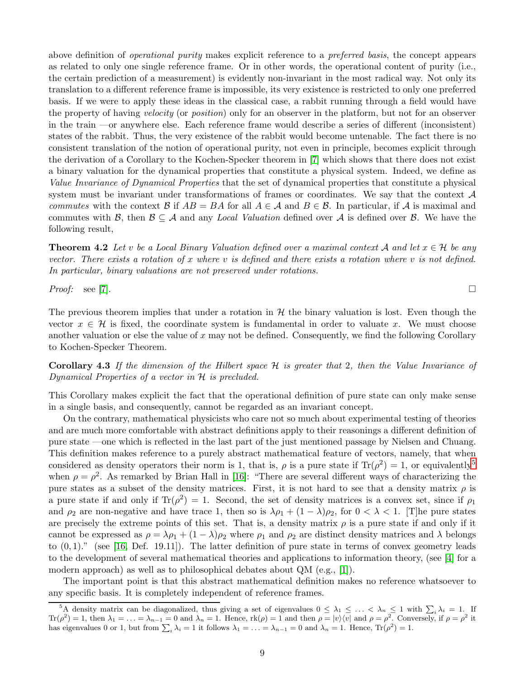above definition of operational purity makes explicit reference to a preferred basis, the concept appears as related to only one single reference frame. Or in other words, the operational content of purity (i.e., the certain prediction of a measurement) is evidently non-invariant in the most radical way. Not only its translation to a different reference frame is impossible, its very existence is restricted to only one preferred basis. If we were to apply these ideas in the classical case, a rabbit running through a field would have the property of having velocity (or position) only for an observer in the platform, but not for an observer in the train —or anywhere else. Each reference frame would describe a series of different (inconsistent) states of the rabbit. Thus, the very existence of the rabbit would become untenable. The fact there is no consistent translation of the notion of operational purity, not even in principle, becomes explicit through the derivation of a Corollary to the Kochen-Specker theorem in [\[7\]](#page-10-3) which shows that there does not exist a binary valuation for the dynamical properties that constitute a physical system. Indeed, we define as Value Invariance of Dynamical Properties that the set of dynamical properties that constitute a physical system must be invariant under transformations of frames or coordinates. We say that the context  $\mathcal A$ commutes with the context B if  $AB = BA$  for all  $A \in \mathcal{A}$  and  $B \in \mathcal{B}$ . In particular, if A is maximal and commutes with B, then  $\mathcal{B} \subseteq \mathcal{A}$  and any Local Valuation defined over  $\mathcal{A}$  is defined over  $\mathcal{B}$ . We have the following result,

**Theorem 4.2** Let v be a Local Binary Valuation defined over a maximal context A and let  $x \in \mathcal{H}$  be any vector. There exists a rotation of x where v is defined and there exists a rotation where v is not defined. In particular, binary valuations are not preserved under rotations.

*Proof:* see [\[7\]](#page-10-3).

The previous theorem implies that under a rotation in  $H$  the binary valuation is lost. Even though the vector  $x \in \mathcal{H}$  is fixed, the coordinate system is fundamental in order to valuate x. We must choose another valuation or else the value of  $x$  may not be defined. Consequently, we find the following Corollary to Kochen-Specker Theorem.

**Corollary 4.3** If the dimension of the Hilbert space  $H$  is greater that 2, then the Value Invariance of Dynamical Properties of a vector in H is precluded.

This Corollary makes explicit the fact that the operational definition of pure state can only make sense in a single basis, and consequently, cannot be regarded as an invariant concept.

On the contrary, mathematical physicists who care not so much about experimental testing of theories and are much more comfortable with abstract definitions apply to their reasonings a different definition of pure state —one which is reflected in the last part of the just mentioned passage by Nielsen and Chuang. This definition makes reference to a purely abstract mathematical feature of vectors, namely, that when considered as density operators their norm is 1, that is,  $\rho$  is a pure state if  $\text{Tr}(\rho^2) = 1$ , or equivalently<sup>[5](#page-8-0)</sup> when  $\rho = \rho^2$ . As remarked by Brian Hall in [\[16\]](#page-11-8): "There are several different ways of characterizing the pure states as a subset of the density matrices. First, it is not hard to see that a density matrix  $\rho$  is a pure state if and only if  $\text{Tr}(\rho^2) = 1$ . Second, the set of density matrices is a convex set, since if  $\rho_1$ and  $\rho_2$  are non-negative and have trace 1, then so is  $\lambda \rho_1 + (1 - \lambda) \rho_2$ , for  $0 < \lambda < 1$ . [The pure states are precisely the extreme points of this set. That is, a density matrix  $\rho$  is a pure state if and only if it cannot be expressed as  $\rho = \lambda \rho_1 + (1 - \lambda) \rho_2$  where  $\rho_1$  and  $\rho_2$  are distinct density matrices and  $\lambda$  belongs to  $(0, 1)$ ." (see [\[16,](#page-11-8) Def. 19.11]). The latter definition of pure state in terms of convex geometry leads to the development of several mathematical theories and applications to information theory, (see [\[4\]](#page-10-2) for a modern approach) as well as to philosophical debates about QM (e.g., [\[1\]](#page-10-6)).

The important point is that this abstract mathematical definition makes no reference whatsoever to any specific basis. It is completely independent of reference frames.

<span id="page-8-0"></span><sup>&</sup>lt;sup>5</sup>A density matrix can be diagonalized, thus giving a set of eigenvalues  $0 \leq \lambda_1 \leq \ldots \leq \lambda_n \leq 1$  with  $\sum_i \lambda_i = 1$ . If  $\text{Tr}(\rho^2) = 1$ , then  $\lambda_1 = \ldots = \lambda_{n-1} = 0$  and  $\lambda_n = 1$ . Hence,  $\text{rk}(\rho) = 1$  and then  $\rho = |v\rangle\langle v|$  and  $\rho = \rho^2$ . Conversely, if  $\rho = \rho^2$  it has eigenvalues 0 or 1, but from  $\sum_i \lambda_i = 1$  it follows  $\lambda_1 = \ldots = \lambda_{n-1} = 0$  and  $\lambda_n = 1$ . Hence,  $\text{Tr}(\rho^2) = 1$ .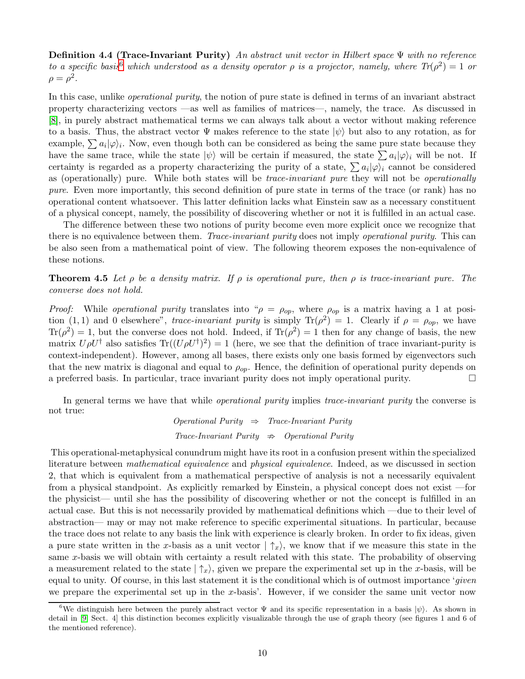**Definition 4.4 (Trace-Invariant Purity)** An abstract unit vector in Hilbert space  $\Psi$  with no reference to a specific basis which understood as a density operator  $\rho$  is a projector, namely, where  $Tr(\rho^2) = 1$  or  $\rho = \rho^2$ .

In this case, unlike operational purity, the notion of pure state is defined in terms of an invariant abstract property characterizing vectors —as well as families of matrices—, namely, the trace. As discussed in [\[8\]](#page-11-15), in purely abstract mathematical terms we can always talk about a vector without making reference to a basis. Thus, the abstract vector  $\Psi$  makes reference to the state  $|\psi\rangle$  but also to any rotation, as for example,  $\sum a_i |\varphi\rangle_i$ . Now, even though both can be considered as being the same pure state because they have the same trace, while the state  $|\psi\rangle$  will be certain if measured, the state  $\sum a_i |\varphi\rangle_i$  will be not. If certainty is regarded as a property characterizing the purity of a state,  $\sum a_i |\varphi\rangle_i$  cannot be considered as (operationally) pure. While both states will be trace-invariant pure they will not be operationally pure. Even more importantly, this second definition of pure state in terms of the trace (or rank) has no operational content whatsoever. This latter definition lacks what Einstein saw as a necessary constituent of a physical concept, namely, the possibility of discovering whether or not it is fulfilled in an actual case.

The difference between these two notions of purity become even more explicit once we recognize that there is no equivalence between them. Trace-invariant purity does not imply operational purity. This can be also seen from a mathematical point of view. The following theorem exposes the non-equivalence of these notions.

**Theorem 4.5** Let  $\rho$  be a density matrix. If  $\rho$  is operational pure, then  $\rho$  is trace-invariant pure. The converse does not hold.

*Proof:* While *operational purity* translates into " $\rho = \rho_{op}$ , where  $\rho_{op}$  is a matrix having a 1 at position (1, 1) and 0 elsewhere", trace-invariant purity is simply  $\text{Tr}(\rho^2) = 1$ . Clearly if  $\rho = \rho_{op}$ , we have  $\text{Tr}(\rho^2) = 1$ , but the converse does not hold. Indeed, if  $\text{Tr}(\rho^2) = 1$  then for any change of basis, the new matrix  $U\rho U^{\dagger}$  also satisfies  $\text{Tr}((U\rho U^{\dagger})^2) = 1$  (here, we see that the definition of trace invariant-purity is context-independent). However, among all bases, there exists only one basis formed by eigenvectors such that the new matrix is diagonal and equal to  $\rho_{op}$ . Hence, the definition of operational purity depends on a preferred basis. In particular, trace invariant purity does not imply operational purity.  $\Box$ 

In general terms we have that while *operational purity* implies *trace-invariant purity* the converse is not true:

 $Operational$  Purity  $\Rightarrow$  Trace-Invariant Purity  $Trace\text{-}Invariant \; Purity \;\; \Rightarrow \;\; Operational \; Purity$ 

This operational-metaphysical conundrum might have its root in a confusion present within the specialized literature between mathematical equivalence and physical equivalence. Indeed, as we discussed in section 2, that which is equivalent from a mathematical perspective of analysis is not a necessarily equivalent from a physical standpoint. As explicitly remarked by Einstein, a physical concept does not exist —for the physicist— until she has the possibility of discovering whether or not the concept is fulfilled in an actual case. But this is not necessarily provided by mathematical definitions which —due to their level of abstraction— may or may not make reference to specific experimental situations. In particular, because the trace does not relate to any basis the link with experience is clearly broken. In order to fix ideas, given a pure state written in the x-basis as a unit vector  $|\uparrow_x\rangle$ , we know that if we measure this state in the same x-basis we will obtain with certainty a result related with this state. The probability of observing a measurement related to the state  $|\uparrow_x\rangle$ , given we prepare the experimental set up in the x-basis, will be equal to unity. Of course, in this last statement it is the conditional which is of outmost importance 'given we prepare the experimental set up in the x-basis'. However, if we consider the same unit vector now

<span id="page-9-0"></span><sup>&</sup>lt;sup>6</sup>We distinguish here between the purely abstract vector  $\Psi$  and its specific representation in a basis  $|\psi\rangle$ . As shown in detail in [\[9,](#page-11-21) Sect. 4] this distinction becomes explicitly visualizable through the use of graph theory (see figures 1 and 6 of the mentioned reference).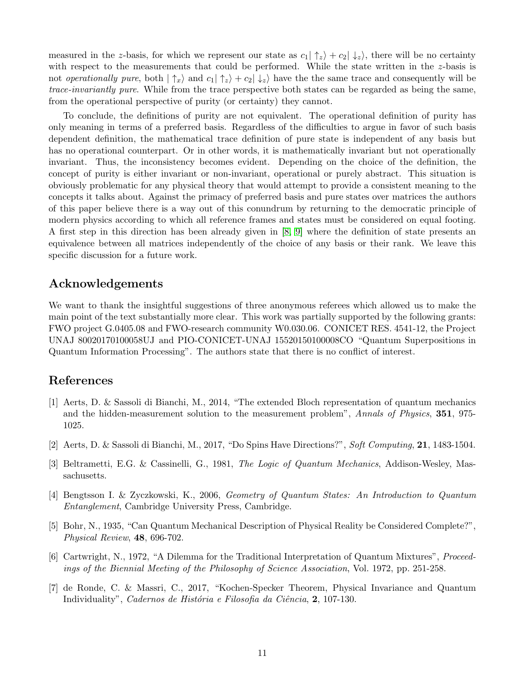measured in the z-basis, for which we represent our state as  $c_1 | \uparrow_z \rangle + c_2 | \downarrow_z \rangle$ , there will be no certainty with respect to the measurements that could be performed. While the state written in the z-basis is not *operationally pure*, both  $|\uparrow_x\rangle$  and  $c_1|\uparrow_z\rangle + c_2|\downarrow_z\rangle$  have the the same trace and consequently will be trace-invariantly pure. While from the trace perspective both states can be regarded as being the same, from the operational perspective of purity (or certainty) they cannot.

To conclude, the definitions of purity are not equivalent. The operational definition of purity has only meaning in terms of a preferred basis. Regardless of the difficulties to argue in favor of such basis dependent definition, the mathematical trace definition of pure state is independent of any basis but has no operational counterpart. Or in other words, it is mathematically invariant but not operationally invariant. Thus, the inconsistency becomes evident. Depending on the choice of the definition, the concept of purity is either invariant or non-invariant, operational or purely abstract. This situation is obviously problematic for any physical theory that would attempt to provide a consistent meaning to the concepts it talks about. Against the primacy of preferred basis and pure states over matrices the authors of this paper believe there is a way out of this conundrum by returning to the democratic principle of modern physics according to which all reference frames and states must be considered on equal footing. A first step in this direction has been already given in [\[8,](#page-11-15) [9\]](#page-11-21) where the definition of state presents an equivalence between all matrices independently of the choice of any basis or their rank. We leave this specific discussion for a future work.

## Acknowledgements

We want to thank the insightful suggestions of three anonymous referees which allowed us to make the main point of the text substantially more clear. This work was partially supported by the following grants: FWO project G.0405.08 and FWO-research community W0.030.06. CONICET RES. 4541-12, the Project UNAJ 80020170100058UJ and PIO-CONICET-UNAJ 15520150100008CO "Quantum Superpositions in Quantum Information Processing". The authors state that there is no conflict of interest.

## <span id="page-10-6"></span>References

- [1] Aerts, D. & Sassoli di Bianchi, M., 2014, "The extended Bloch representation of quantum mechanics and the hidden-measurement solution to the measurement problem", Annals of Physics, 351, 975-1025.
- <span id="page-10-5"></span><span id="page-10-0"></span>[2] Aerts, D. & Sassoli di Bianchi, M., 2017, "Do Spins Have Directions?", Soft Computing, 21, 1483-1504.
- <span id="page-10-2"></span>[3] Beltrametti, E.G. & Cassinelli, G., 1981, The Logic of Quantum Mechanics, Addison-Wesley, Massachusetts.
- <span id="page-10-4"></span>[4] Bengtsson I. & Zyczkowski, K., 2006, Geometry of Quantum States: An Introduction to Quantum Entanglement, Cambridge University Press, Cambridge.
- [5] Bohr, N., 1935, "Can Quantum Mechanical Description of Physical Reality be Considered Complete?", Physical Review, 48, 696-702.
- <span id="page-10-1"></span>[6] Cartwright, N., 1972, "A Dilemma for the Traditional Interpretation of Quantum Mixtures", Proceedings of the Biennial Meeting of the Philosophy of Science Association, Vol. 1972, pp. 251-258.
- <span id="page-10-3"></span>[7] de Ronde, C. & Massri, C., 2017, "Kochen-Specker Theorem, Physical Invariance and Quantum Individuality", Cadernos de História e Filosofia da Ciência, 2, 107-130.